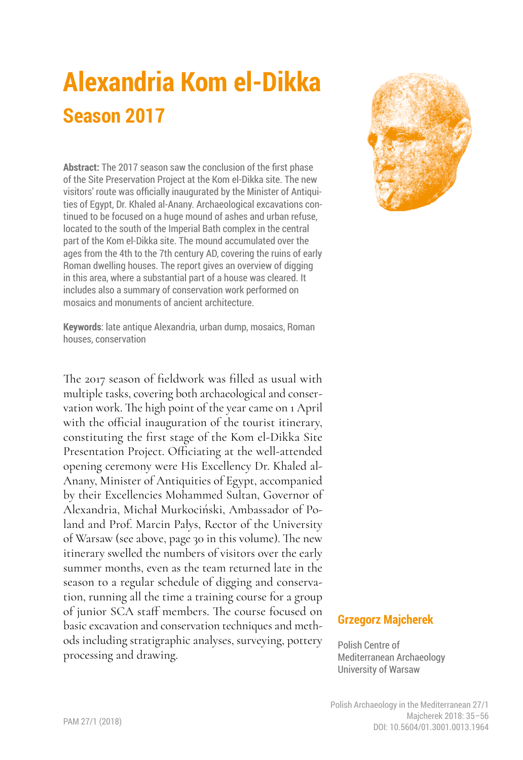# **Alexandria Kom el-Dikka Season 2017**

**Abstract:** The 2017 season saw the conclusion of the first phase of the Site Preservation Project at the Kom el-Dikka site. The new visitors' route was officially inaugurated by the Minister of Antiquities of Egypt, Dr. Khaled al-Anany. Archaeological excavations continued to be focused on a huge mound of ashes and urban refuse, located to the south of the Imperial Bath complex in the central part of the Kom el-Dikka site. The mound accumulated over the ages from the 4th to the 7th century AD, covering the ruins of early Roman dwelling houses. The report gives an overview of digging in this area, where a substantial part of a house was cleared. It includes also a summary of conservation work performed on mosaics and monuments of ancient architecture.

**Keywords**: late antique Alexandria, urban dump, mosaics, Roman houses, conservation

The 2017 season of fieldwork was filled as usual with multiple tasks, covering both archaeological and conservation work. The high point of the year came on 1 April with the official inauguration of the tourist itinerary, constituting the first stage of the Kom el-Dikka Site Presentation Project. Officiating at the well-attended opening ceremony were His Excellency Dr. Khaled al-Anany, Minister of Antiquities of Egypt, accompanied by their Excellencies Mohammed Sultan, Governor of Alexandria, Michał Murkociński, Ambassador of Poland and Prof. Marcin Pałys, Rector of the University of Warsaw (see above, page 30 in this volume). The new itinerary swelled the numbers of visitors over the early summer months, even as the team returned late in the season to a regular schedule of digging and conservation, running all the time a training course for a group of junior SCA staff members. The course focused on basic excavation and conservation techniques and methods including stratigraphic analyses, surveying, pottery processing and drawing.



## **Grzegorz Majcherek**

Polish Centre of Mediterranean Archaeology University of Warsaw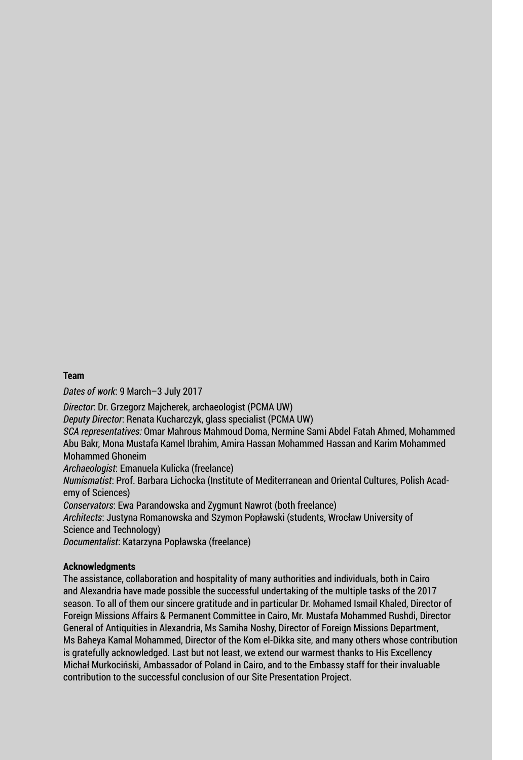#### **Team**

*Dates of work*: 9 March–3 July 2017

*Director*: Dr. Grzegorz Majcherek, archaeologist (PCMA UW)

*Deputy Director*: Renata Kucharczyk, glass specialist (PCMA UW)

*SCA representatives:* Omar Mahrous Mahmoud Doma, Nermine Sami Abdel Fatah Ahmed, Mohammed Abu Bakr, Mona Mustafa Kamel Ibrahim, Amira Hassan Mohammed Hassan and Karim Mohammed Mohammed Ghoneim

*Archaeologist*: Emanuela Kulicka (freelance)

*Numismatist*: Prof. Barbara Lichocka (Institute of Mediterranean and Oriental Cultures, Polish Academy of Sciences)

*Conservators*: Ewa Parandowska and Zygmunt Nawrot (both freelance)

*Architects*: Justyna Romanowska and Szymon Popławski (students, Wrocław University of Science and Technology)

*Documentalist*: Katarzyna Popławska (freelance)

#### **Acknowledgments**

The assistance, collaboration and hospitality of many authorities and individuals, both in Cairo and Alexandria have made possible the successful undertaking of the multiple tasks of the 2017 season. To all of them our sincere gratitude and in particular Dr. Mohamed Ismail Khaled, Director of Foreign Missions Affairs & Permanent Committee in Cairo, Mr. Mustafa Mohammed Rushdi, Director General of Antiquities in Alexandria, Ms Samiha Noshy, Director of Foreign Missions Department, Ms Baheya Kamal Mohammed, Director of the Kom el-Dikka site, and many others whose contribution is gratefully acknowledged. Last but not least, we extend our warmest thanks to His Excellency Michał Murkociński, Ambassador of Poland in Cairo, and to the Embassy staff for their invaluable contribution to the successful conclusion of our Site Presentation Project.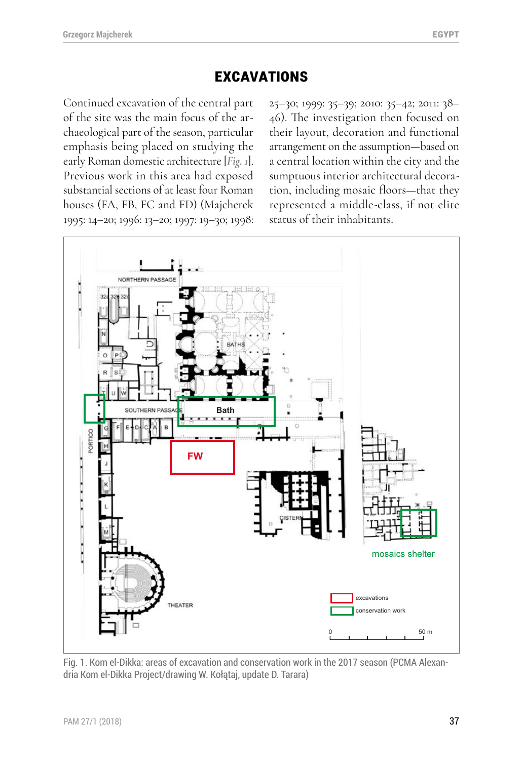# **Excavations**

Continued excavation of the central part of the site was the main focus of the archaeological part of the season, particular emphasis being placed on studying the early Roman domestic architecture [*Fig. 1*]. Previous work in this area had exposed substantial sections of at least four Roman houses (FA, FB, FC and FD) (Majcherek 1995: 14–20; 1996: 13–20; 1997: 19–30; 1998: 25–30; 1999: 35–39; 2010: 35–42; 2011: 38– 46). The investigation then focused on their layout, decoration and functional arrangement on the assumption—based on a central location within the city and the sumptuous interior architectural decoration, including mosaic floors—that they represented a middle-class, if not elite status of their inhabitants.



Fig. 1. Kom el-Dikka: areas of excavation and conservation work in the 2017 season (PCMA Alexandria Kom el-Dikka Project/drawing W. Kołątaj, update D. Tarara)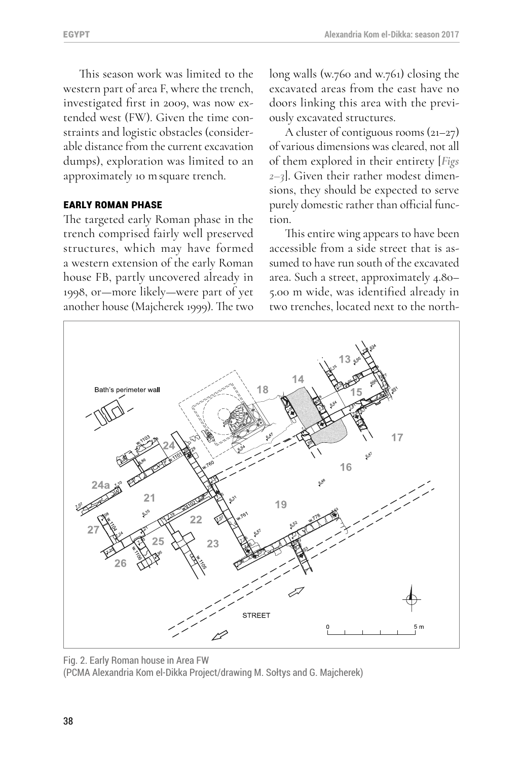This season work was limited to the western part of area F, where the trench, investigated first in 2009, was now extended west (FW). Given the time constraints and logistic obstacles (considerable distance from the current excavation dumps), exploration was limited to an approximately 10 msquare trench.

### **Early Roman phase**

The targeted early Roman phase in the trench comprised fairly well preserved structures, which may have formed a western extension of the early Roman house FB, partly uncovered already in 1998, or—more likely—were part of yet another house (Majcherek 1999). The two long walls (w.760 and w.761) closing the excavated areas from the east have no doors linking this area with the previously excavated structures.

A cluster of contiguous rooms (21–27) of various dimensions was cleared, not all of them explored in their entirety [*Figs 2–3*]. Given their rather modest dimensions, they should be expected to serve purely domestic rather than official function.

This entire wing appears to have been accessible from a side street that is assumed to have run south of the excavated area. Such a street, approximately 4.80– 5.00 m wide, was identified already in two trenches, located next to the north-



Fig. 2. Early Roman house in Area FW (PCMA Alexandria Kom el-Dikka Project/drawing M. Sołtys and G. Majcherek)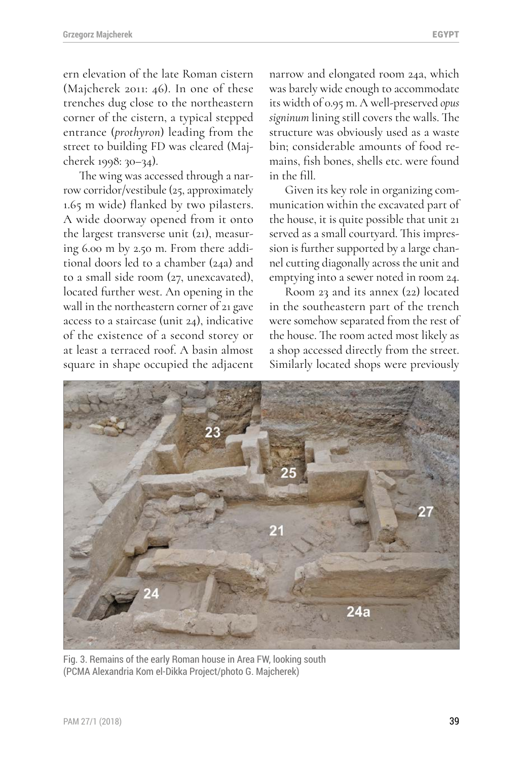ern elevation of the late Roman cistern (Majcherek 2011: 46). In one of these trenches dug close to the northeastern corner of the cistern, a typical stepped entrance (*prothyron*) leading from the street to building FD was cleared (Majcherek 1998: 30–34).

The wing was accessed through a narrow corridor/vestibule (25, approximately 1.65 m wide) flanked by two pilasters. A wide doorway opened from it onto the largest transverse unit (21), measuring 6.00 m by 2.50 m. From there additional doors led to a chamber (24a) and to a small side room (27, unexcavated), located further west. An opening in the wall in the northeastern corner of 21 gave access to a staircase (unit 24), indicative of the existence of a second storey or at least a terraced roof. A basin almost square in shape occupied the adjacent

narrow and elongated room 24a, which was barely wide enough to accommodate its width of 0.95 m. A well-preserved *opus signinum* lining still covers the walls. The structure was obviously used as a waste bin; considerable amounts of food remains, fish bones, shells etc. were found in the fill.

Given its key role in organizing communication within the excavated part of the house, it is quite possible that unit 21 served as a small courtyard. This impression is further supported by a large channel cutting diagonally across the unit and emptying into a sewer noted in room 24.

Room 23 and its annex (22) located in the southeastern part of the trench were somehow separated from the rest of the house. The room acted most likely as a shop accessed directly from the street. Similarly located shops were previously



Fig. 3. Remains of the early Roman house in Area FW, looking south (PCMA Alexandria Kom el-Dikka Project/photo G. Majcherek)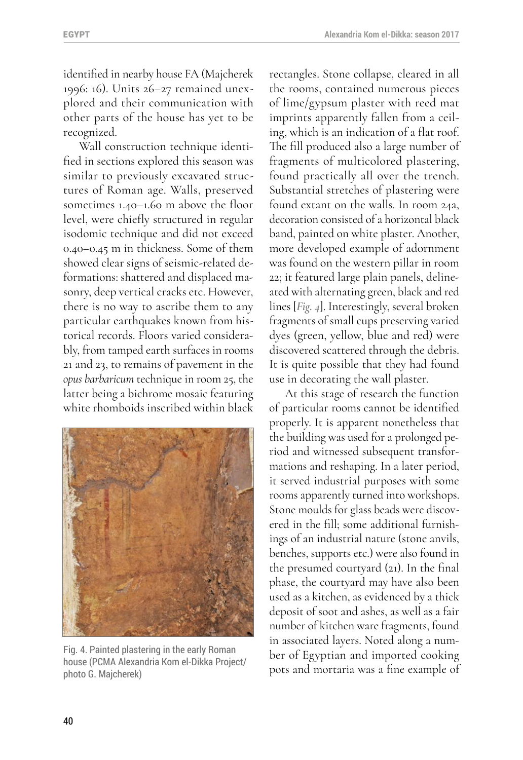identified in nearby house FA (Majcherek 1996: 16). Units 26–27 remained unexplored and their communication with other parts of the house has yet to be recognized.

Wall construction technique identified in sections explored this season was similar to previously excavated structures of Roman age. Walls, preserved sometimes 1.40–1.60 m above the floor level, were chiefly structured in regular isodomic technique and did not exceed 0.40–0.45 m in thickness. Some of them showed clear signs of seismic-related deformations: shattered and displaced masonry, deep vertical cracks etc. However, there is no way to ascribe them to any particular earthquakes known from historical records. Floors varied considerably, from tamped earth surfaces in rooms 21 and 23, to remains of pavement in the *opus barbaricum* technique in room 25, the latter being a bichrome mosaic featuring white rhomboids inscribed within black



Fig. 4. Painted plastering in the early Roman house (PCMA Alexandria Kom el-Dikka Project/ photo G. Majcherek)

rectangles. Stone collapse, cleared in all the rooms, contained numerous pieces of lime/gypsum plaster with reed mat imprints apparently fallen from a ceiling, which is an indication of a flat roof. The fill produced also a large number of fragments of multicolored plastering, found practically all over the trench. Substantial stretches of plastering were found extant on the walls. In room 24a, decoration consisted of a horizontal black band, painted on white plaster. Another, more developed example of adornment was found on the western pillar in room 22; it featured large plain panels, delineated with alternating green, black and red lines [*Fig. 4*]. Interestingly, several broken fragments of small cups preserving varied dyes (green, yellow, blue and red) were discovered scattered through the debris. It is quite possible that they had found use in decorating the wall plaster.

At this stage of research the function of particular rooms cannot be identified properly. It is apparent nonetheless that the building was used for a prolonged period and witnessed subsequent transformations and reshaping. In a later period, it served industrial purposes with some rooms apparently turned into workshops. Stone moulds for glass beads were discovered in the fill; some additional furnishings of an industrial nature (stone anvils, benches, supports etc.) were also found in the presumed courtyard (21). In the final phase, the courtyard may have also been used as a kitchen, as evidenced by a thick deposit of soot and ashes, as well as a fair number of kitchen ware fragments, found in associated layers. Noted along a number of Egyptian and imported cooking pots and mortaria was a fine example of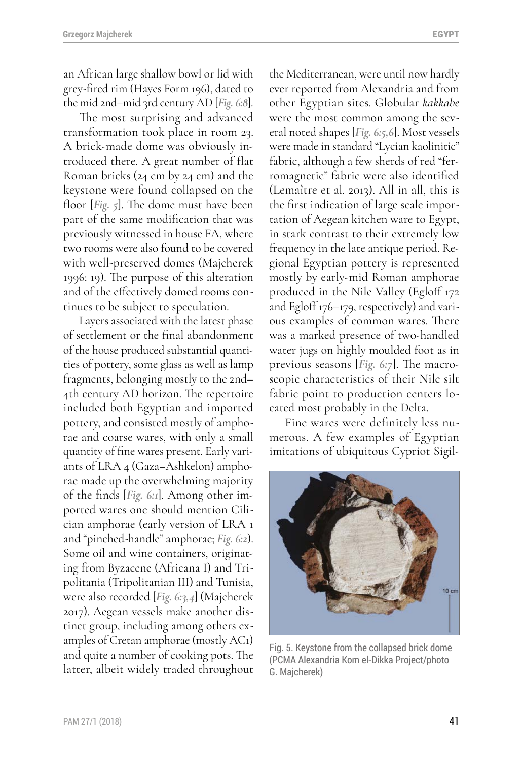an African large shallow bowl or lid with grey-fired rim (Hayes Form 196), dated to the mid 2nd–mid 3rd century AD [*Fig. 6:8*].

The most surprising and advanced transformation took place in room 23. A brick-made dome was obviously introduced there. A great number of flat Roman bricks (24 cm by 24 cm) and the keystone were found collapsed on the floor [*Fig. 5*]. The dome must have been part of the same modification that was previously witnessed in house FA, where two rooms were also found to be covered with well-preserved domes (Majcherek 1996: 19). The purpose of this alteration and of the effectively domed rooms continues to be subject to speculation.

Layers associated with the latest phase of settlement or the final abandonment of the house produced substantial quantities of pottery, some glass as well as lamp fragments, belonging mostly to the 2nd– 4th century AD horizon. The repertoire included both Egyptian and imported pottery, and consisted mostly of amphorae and coarse wares, with only a small quantity of fine wares present. Early variants of LRA 4 (Gaza–Ashkelon) amphorae made up the overwhelming majority of the finds [*Fig. 6:1*]. Among other imported wares one should mention Cilician amphorae (early version of LRA 1 and "pinched-handle" amphorae; *Fig. 6:2*). Some oil and wine containers, originating from Byzacene (Africana I) and Tripolitania (Tripolitanian III) and Tunisia, were also recorded [*Fig. 6:3,4*] (Majcherek 2017). Aegean vessels make another distinct group, including among others examples of Cretan amphorae (mostly AC1) and quite a number of cooking pots. The latter, albeit widely traded throughout the Mediterranean, were until now hardly ever reported from Alexandria and from other Egyptian sites. Globular *kakkabe* were the most common among the several noted shapes [*Fig. 6:5,6*]. Most vessels were made in standard "Lycian kaolinitic" fabric, although a few sherds of red "ferromagnetic" fabric were also identified (Lemaître et al. 2013). All in all, this is the first indication of large scale importation of Aegean kitchen ware to Egypt, in stark contrast to their extremely low frequency in the late antique period. Regional Egyptian pottery is represented mostly by early-mid Roman amphorae produced in the Nile Valley (Egloff 172 and Egloff 176–179, respectively) and various examples of common wares. There was a marked presence of two-handled water jugs on highly moulded foot as in previous seasons [*Fig. 6:7*]. The macroscopic characteristics of their Nile silt fabric point to production centers located most probably in the Delta.

Fine wares were definitely less numerous. A few examples of Egyptian imitations of ubiquitous Cypriot Sigil-



Fig. 5. Keystone from the collapsed brick dome (PCMA Alexandria Kom el-Dikka Project/photo G. Majcherek)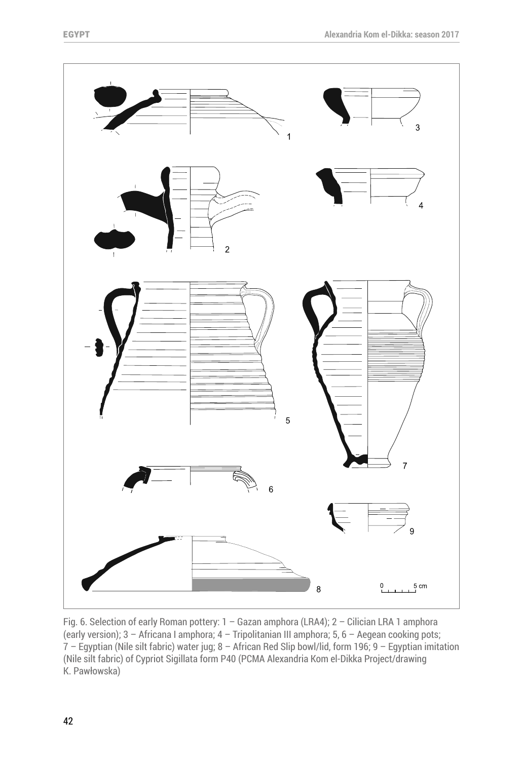

Fig. 6. Selection of early Roman pottery: 1 – Gazan amphora (LRA4); 2 – Cilician LRA 1 amphora (early version); 3 – Africana I amphora; 4 – Tripolitanian III amphora; 5, 6 – Aegean cooking pots; 7 – Egyptian (Nile silt fabric) water jug; 8 – African Red Slip bowl/lid, form 196; 9 – Egyptian imitation (Nile silt fabric) of Cypriot Sigillata form P40 (PCMA Alexandria Kom el-Dikka Project/drawing K. Pawłowska)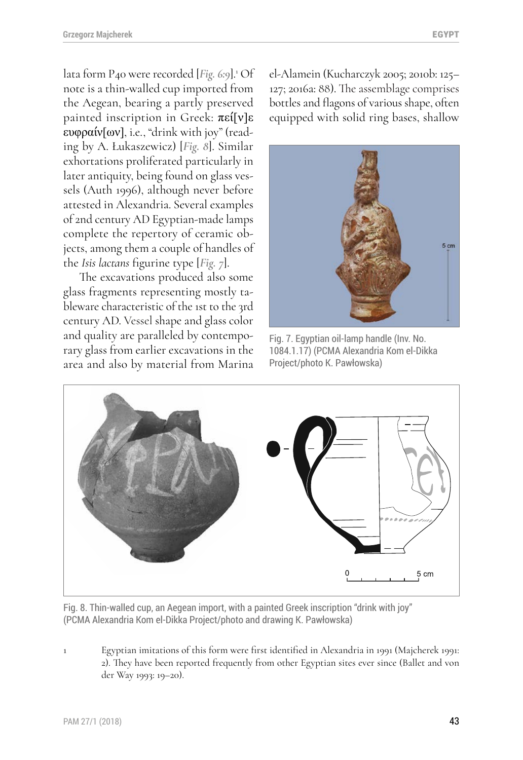lata form P40 were recorded [*Fig. 6:*9].<del>'</del> Of note is a thin-walled cup imported from the Aegean, bearing a partly preserved painted inscription in Greek: πεί[ν]ε ευφραίν[ων], i.e., "drink with joy" (reading by A. Łukaszewicz) [*Fig. 8*]. Similar exhortations proliferated particularly in later antiquity, being found on glass vessels (Auth 1996), although never before attested in Alexandria. Several examples of 2nd century AD Egyptian-made lamps complete the repertory of ceramic objects, among them a couple of handles of the *Isis lactans* figurine type [*Fig. 7*].

The excavations produced also some glass fragments representing mostly tableware characteristic of the 1st to the 3rd century AD. Vessel shape and glass color and quality are paralleled by contemporary glass from earlier excavations in the area and also by material from Marina el-Alamein (Kucharczyk 2005; 2010b: 125– 127; 2016a: 88). The assemblage comprises bottles and flagons of various shape, often equipped with solid ring bases, shallow



Fig. 7. Egyptian oil-lamp handle (Inv. No. 1084.1.17) (PCMA Alexandria Kom el-Dikka Project/photo K. Pawłowska)



Fig. 8. Thin-walled cup, an Aegean import, with a painted Greek inscription "drink with joy" (PCMA Alexandria Kom el-Dikka Project/photo and drawing K. Pawłowska)

1 Egyptian imitations of this form were first identified in Alexandria in 1991 (Majcherek 1991: 2). They have been reported frequently from other Egyptian sites ever since (Ballet and von der Way 1993: 19–20).